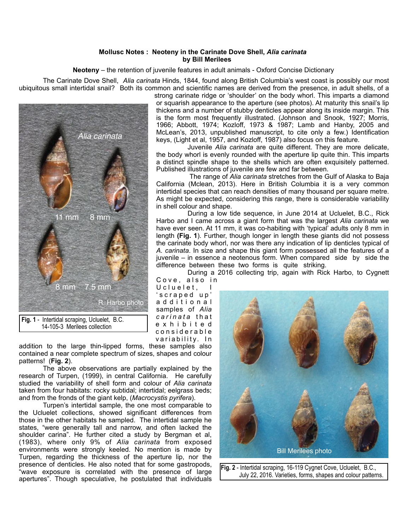## **Mollusc Notes : Neoteny in the Carinate Dove Shell,** *Alia carinata*  **by Bill Merilees**

**Neoteny** – the retention of juvenile features in adult animals - Oxford Concise Dictionary

 The Carinate Dove Shell, *Alia carinata* Hinds, 1844, found along British Columbia's west coast is possibly our most ubiquitous small intertidal snail? Both its common and scientific names are derived from the presence, in adult shells, of a



14-105-3 Merilees collection

addition to the large thin-lipped forms, these samples also contained a near complete spectrum of sizes, shapes and colour patterns! (**Fig. 2**).

 The above observations are partially explained by the research of Turpen, (1999), in central California. He carefully studied the variability of shell form and colour of *Alia carinata* taken from four habitats: rocky subtidal; intertidal; eelgrass beds; and from the fronds of the giant kelp, (*Macrocystis pyrifera*).

 Turpen's intertidal sample, the one most comparable to the Ucluelet collections, showed significant differences from those in the other habitats he sampled. The intertidal sample he states, "were generally tall and narrow, and often lacked the shoulder carina". He further cited a study by Bergman et al, (1983), where only 9% of *Alia carinata* from exposed environments were strongly keeled. No mention is made by Turpen, regarding the thickness of the aperture lip, nor the presence of denticles. He also noted that for some gastropods, "wave exposure is correlated with the presence of large apertures". Though speculative, he postulated that individuals

strong carinate ridge or 'shoulder' on the body whorl. This imparts a diamond or squarish appearance to the aperture (see photos). At maturity this snail's lip thickens and a number of stubby denticles appear along its inside margin. This is the form most frequently illustrated. (Johnson and Snook, 1927; Morris, 1966; Abbott, 1974; Kozloff, 1973 & 1987; Lamb and Hanby, 2005 and McLean's, 2013, unpublished manuscript, to cite only a few.) Identification keys, (Light et al, 1957, and Kozloff, 1987) also focus on this feature.

 Juvenile *Alia carinata* are quite different. They are more delicate, the body whorl is evenly rounded with the aperture lip quite thin. This imparts a distinct spindle shape to the shells which are often exquisitely patterned. Published illustrations of juvenile are few and far between.

 The range of *Alia carinata* stretches from the Gulf of Alaska to Baja California (Mclean, 2013). Here in British Columbia it is a very common intertidal species that can reach densities of many thousand per square metre. As might be expected, considering this range, there is considerable variability in shell colour and shape.

 During a low tide sequence, in June 2014 at Ucluelet, B.C., Rick Harbo and I came across a giant form that was the largest *Alia carinata* we have ever seen. At 11 mm, it was co-habiting with 'typical' adults only 8 mm in length **(Fig. 1**). Further, though longer in length these giants did not possess the carinate body whorl, nor was there any indication of lip denticles typical of *A. carinata*. In size and shape this giant form possessed all the features of a juvenile – in essence a neotenous form. When compared side by side the difference between these two forms is quite striking.

 During a 2016 collecting trip, again with Rick Harbo, to Cygnett Cove, also in

U cluelet, ' s c r a p e d u p ' a d d i t i o n a l samples of *Alia carinata* that e x h i b i t e d c o n s i d e r a b l e variability. In



**Fig. 2** - Intertidal scraping, 16-119 Cygnet Cove, Ucluelet, B.C., July 22, 2016. Varieties, forms, shapes and colour patterns.